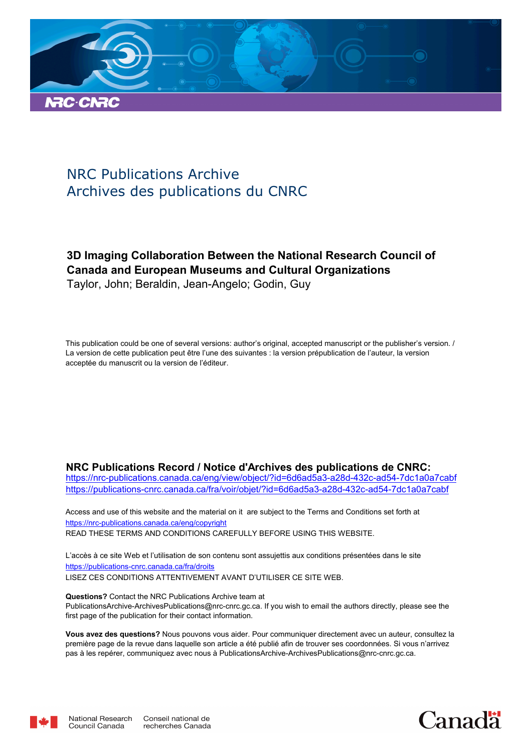

# NRC Publications Archive Archives des publications du CNRC

# **3D Imaging Collaboration Between the National Research Council of Canada and European Museums and Cultural Organizations** Taylor, John; Beraldin, Jean-Angelo; Godin, Guy

This publication could be one of several versions: author's original, accepted manuscript or the publisher's version. / La version de cette publication peut être l'une des suivantes : la version prépublication de l'auteur, la version acceptée du manuscrit ou la version de l'éditeur.

#### **NRC Publications Record / Notice d'Archives des publications de CNRC:**

https://nrc-publications.canada.ca/eng/view/object/?id=6d6ad5a3-a28d-432c-ad54-7dc1a0a7cabf https://publications-cnrc.canada.ca/fra/voir/objet/?id=6d6ad5a3-a28d-432c-ad54-7dc1a0a7cabf

READ THESE TERMS AND CONDITIONS CAREFULLY BEFORE USING THIS WEBSITE. https://nrc-publications.canada.ca/eng/copyright Access and use of this website and the material on it are subject to the Terms and Conditions set forth at

https://publications-cnrc.canada.ca/fra/droits L'accès à ce site Web et l'utilisation de son contenu sont assujettis aux conditions présentées dans le site LISEZ CES CONDITIONS ATTENTIVEMENT AVANT D'UTILISER CE SITE WEB.

**Questions?** Contact the NRC Publications Archive team at PublicationsArchive-ArchivesPublications@nrc-cnrc.gc.ca. If you wish to email the authors directly, please see the first page of the publication for their contact information.

**Vous avez des questions?** Nous pouvons vous aider. Pour communiquer directement avec un auteur, consultez la première page de la revue dans laquelle son article a été publié afin de trouver ses coordonnées. Si vous n'arrivez pas à les repérer, communiquez avec nous à PublicationsArchive-ArchivesPublications@nrc-cnrc.gc.ca.



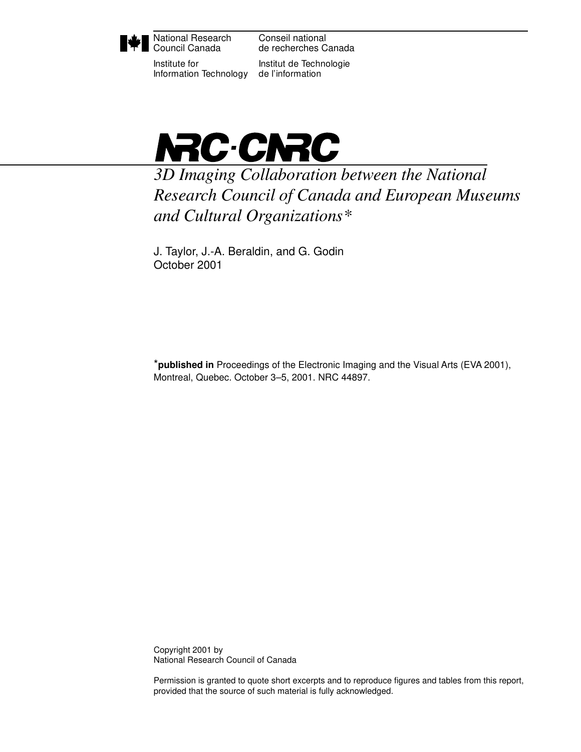

National Research Council Canada

Institute for Information Technology

Conseil national de recherches Canada

Institut de Technologie de l'information



*3D Imaging Collaboration between the National Research Council of Canada and European Museums and Cultural Organizations\**

J. Taylor, J.-A. Beraldin, and G. Godin October 2001

\***published in** Proceedings of the Electronic Imaging and the Visual Arts (EVA 2001), Montreal, Quebec. October 3–5, 2001. NRC 44897.

Copyright 2001 by National Research Council of Canada

Permission is granted to quote short excerpts and to reproduce figures and tables from this report, provided that the source of such material is fully acknowledged.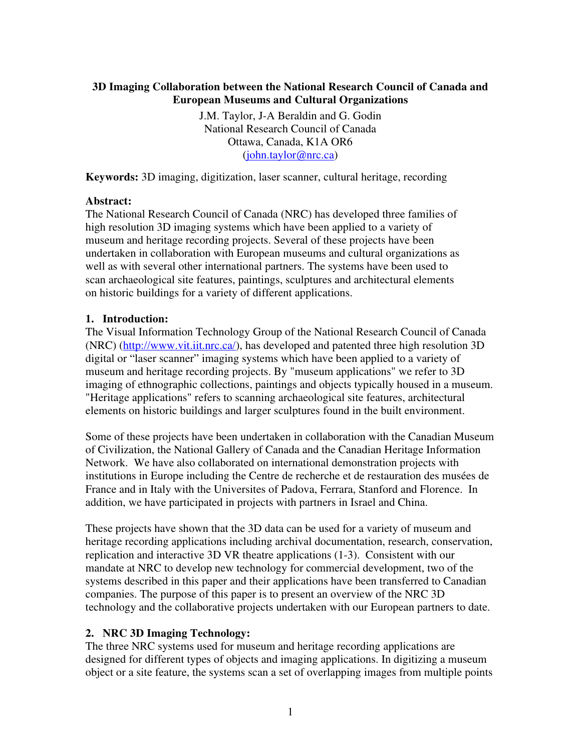### **3D Imaging Collaboration between the National Research Council of Canada and European Museums and Cultural Organizations**

J.M. Taylor, J-A Beraldin and G. Godin National Research Council of Canada Ottawa, Canada, K1A OR6 (john.taylor@nrc.ca)

**Keywords:** 3D imaging, digitization, laser scanner, cultural heritage, recording

#### **Abstract:**

The National Research Council of Canada (NRC) has developed three families of high resolution 3D imaging systems which have been applied to a variety of museum and heritage recording projects. Several of these projects have been undertaken in collaboration with European museums and cultural organizations as well as with several other international partners. The systems have been used to scan archaeological site features, paintings, sculptures and architectural elements on historic buildings for a variety of different applications.

#### **1. Introduction:**

The Visual Information Technology Group of the National Research Council of Canada (NRC) (http://www.vit.iit.nrc.ca/), has developed and patented three high resolution 3D digital or "laser scanner" imaging systems which have been applied to a variety of museum and heritage recording projects. By "museum applications" we refer to 3D imaging of ethnographic collections, paintings and objects typically housed in a museum. "Heritage applications" refers to scanning archaeological site features, architectural elements on historic buildings and larger sculptures found in the built environment.

Some of these projects have been undertaken in collaboration with the Canadian Museum of Civilization, the National Gallery of Canada and the Canadian Heritage Information Network. We have also collaborated on international demonstration projects with institutions in Europe including the Centre de recherche et de restauration des musées de France and in Italy with the Universites of Padova, Ferrara, Stanford and Florence. In addition, we have participated in projects with partners in Israel and China.

These projects have shown that the 3D data can be used for a variety of museum and heritage recording applications including archival documentation, research, conservation, replication and interactive 3D VR theatre applications (1-3). Consistent with our mandate at NRC to develop new technology for commercial development, two of the systems described in this paper and their applications have been transferred to Canadian companies. The purpose of this paper is to present an overview of the NRC 3D technology and the collaborative projects undertaken with our European partners to date.

#### **2. NRC 3D Imaging Technology:**

The three NRC systems used for museum and heritage recording applications are designed for different types of objects and imaging applications. In digitizing a museum object or a site feature, the systems scan a set of overlapping images from multiple points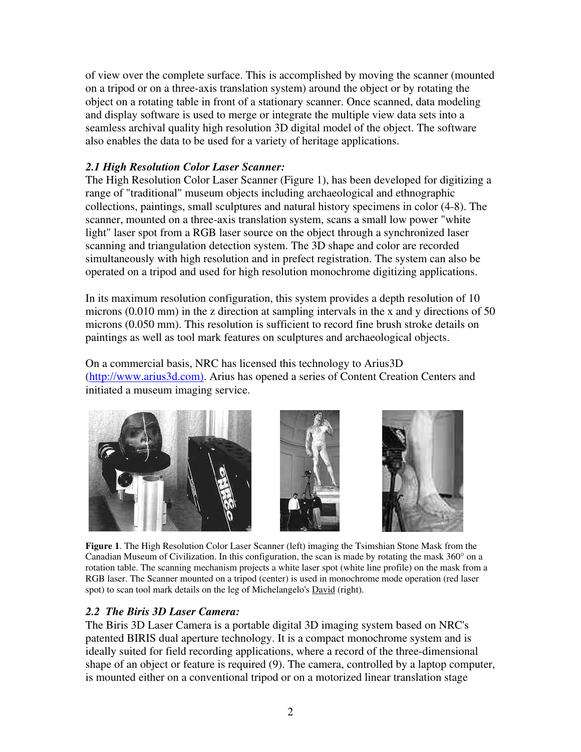of view over the complete surface. This is accomplished by moving the scanner (mounted on a tripod or on a three-axis translation system) around the object or by rotating the object on a rotating table in front of a stationary scanner. Once scanned, data modeling and display software is used to merge or integrate the multiple view data sets into a seamless archival quality high resolution 3D digital model of the object. The software also enables the data to be used for a variety of heritage applications.

# *2.1 High Resolution Color Laser Scanner:*

The High Resolution Color Laser Scanner (Figure 1), has been developed for digitizing a range of "traditional" museum objects including archaeological and ethnographic collections, paintings, small sculptures and natural history specimens in color (4-8). The scanner, mounted on a three-axis translation system, scans a small low power "white light" laser spot from a RGB laser source on the object through a synchronized laser scanning and triangulation detection system. The 3D shape and color are recorded simultaneously with high resolution and in prefect registration. The system can also be operated on a tripod and used for high resolution monochrome digitizing applications.

In its maximum resolution configuration, this system provides a depth resolution of 10 microns (0.010 mm) in the z direction at sampling intervals in the x and y directions of 50 microns (0.050 mm). This resolution is sufficient to record fine brush stroke details on paintings as well as tool mark features on sculptures and archaeological objects.

On a commercial basis, NRC has licensed this technology to Arius3D (http://www.arius3d.com). Arius has opened a series of Content Creation Centers and initiated a museum imaging service.





**Figure 1**. The High Resolution Color Laser Scanner (left) imaging the Tsimshian Stone Mask from the Canadian Museum of Civilization. In this configuration, the scan is made by rotating the mask  $360^{\circ}$  on a rotation table. The scanning mechanism projects a white laser spot (white line profile) on the mask from a RGB laser. The Scanner mounted on a tripod (center) is used in monochrome mode operation (red laser spot) to scan tool mark details on the leg of Michelangelo's **David** (right).

# *2.2 The Biris 3D Laser Camera:*

The Biris 3D Laser Camera is a portable digital 3D imaging system based on NRC's patented BIRIS dual aperture technology. It is a compact monochrome system and is ideally suited for field recording applications, where a record of the three-dimensional shape of an object or feature is required (9). The camera, controlled by a laptop computer, is mounted either on a conventional tripod or on a motorized linear translation stage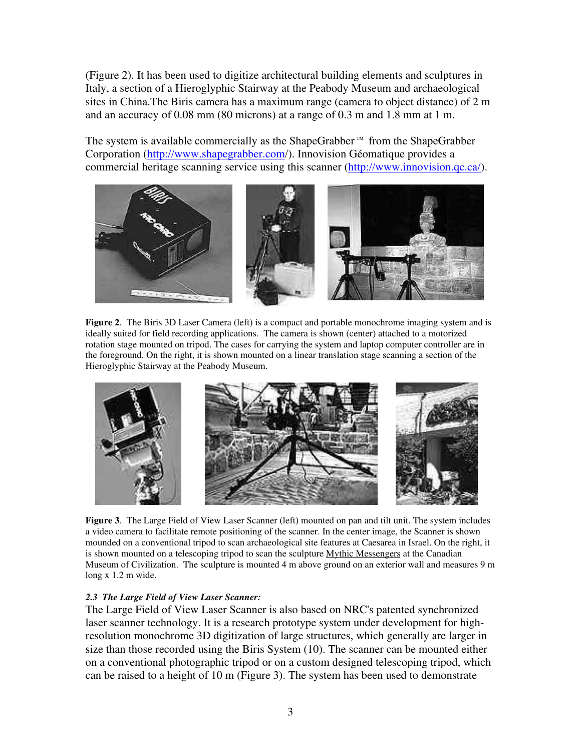(Figure 2). It has been used to digitize architectural building elements and sculptures in Italy, a section of a Hieroglyphic Stairway at the Peabody Museum and archaeological sites in China.The Biris camera has a maximum range (camera to object distance) of 2 m and an accuracy of 0.08 mm (80 microns) at a range of 0.3 m and 1.8 mm at 1 m.

The system is available commercially as the ShapeGrabber™ from the ShapeGrabber Corporation (http://www.shapegrabber.com/). Innovision Géomatique provides a commercial heritage scanning service using this scanner (http://www.innovision.qc.ca/).



**Figure 2**. The Biris 3D Laser Camera (left) is a compact and portable monochrome imaging system and is ideally suited for field recording applications. The camera is shown (center) attached to a motorized rotation stage mounted on tripod. The cases for carrying the system and laptop computer controller are in the foreground. On the right, it is shown mounted on a linear translation stage scanning a section of the Hieroglyphic Stairway at the Peabody Museum.



**Figure 3**. The Large Field of View Laser Scanner (left) mounted on pan and tilt unit. The system includes a video camera to facilitate remote positioning of the scanner. In the center image, the Scanner is shown mounded on a conventional tripod to scan archaeological site features at Caesarea in Israel. On the right, it is shown mounted on a telescoping tripod to scan the sculpture Mythic Messengers at the Canadian Museum of Civilization. The sculpture is mounted 4 m above ground on an exterior wall and measures 9 m long x 1.2 m wide.

#### *2.3 The Large Field of View Laser Scanner:*

The Large Field of View Laser Scanner is also based on NRC's patented synchronized laser scanner technology. It is a research prototype system under development for highresolution monochrome 3D digitization of large structures, which generally are larger in size than those recorded using the Biris System (10). The scanner can be mounted either on a conventional photographic tripod or on a custom designed telescoping tripod, which can be raised to a height of 10 m (Figure 3). The system has been used to demonstrate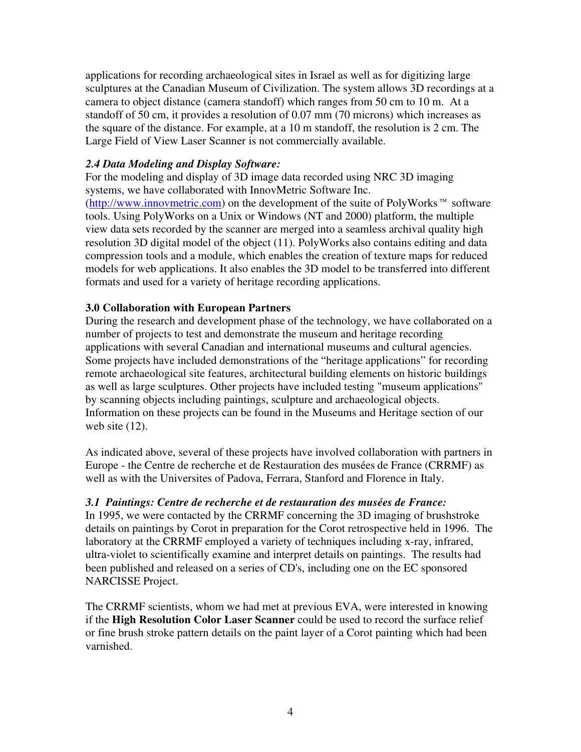applications for recording archaeological sites in Israel as well as for digitizing large sculptures at the Canadian Museum of Civilization. The system allows 3D recordings at a camera to object distance (camera standoff) which ranges from 50 cm to 10 m. At a standoff of 50 cm, it provides a resolution of 0.07 mm (70 microns) which increases as the square of the distance. For example, at a 10 m standoff, the resolution is 2 cm. The Large Field of View Laser Scanner is not commercially available.

## *2.4 Data Modeling and Display Software:*

For the modeling and display of 3D image data recorded using NRC 3D imaging systems, we have collaborated with InnovMetric Software Inc. (http://www.innovmetric.com) on the development of the suite of PolyWorks™ software tools. Using PolyWorks on a Unix or Windows (NT and 2000) platform, the multiple view data sets recorded by the scanner are merged into a seamless archival quality high resolution 3D digital model of the object (11). PolyWorks also contains editing and data compression tools and a module, which enables the creation of texture maps for reduced models for web applications. It also enables the 3D model to be transferred into different formats and used for a variety of heritage recording applications.

## **3.0 Collaboration with European Partners**

During the research and development phase of the technology, we have collaborated on a number of projects to test and demonstrate the museum and heritage recording applications with several Canadian and international museums and cultural agencies. Some projects have included demonstrations of the "heritage applications" for recording remote archaeological site features, architectural building elements on historic buildings as well as large sculptures. Other projects have included testing "museum applications" by scanning objects including paintings, sculpture and archaeological objects. Information on these projects can be found in the Museums and Heritage section of our web site  $(12)$ .

As indicated above, several of these projects have involved collaboration with partners in Europe - the Centre de recherche et de Restauration des musées de France (CRRMF) as well as with the Universites of Padova, Ferrara, Stanford and Florence in Italy.

#### *3.1 Paintings: Centre de recherche et de restauration des musées de France:*

In 1995, we were contacted by the CRRMF concerning the 3D imaging of brushstroke details on paintings by Corot in preparation for the Corot retrospective held in 1996. The laboratory at the CRRMF employed a variety of techniques including x-ray, infrared, ultra-violet to scientifically examine and interpret details on paintings. The results had been published and released on a series of CD's, including one on the EC sponsored NARCISSE Project.

The CRRMF scientists, whom we had met at previous EVA, were interested in knowing if the **High Resolution Color Laser Scanner** could be used to record the surface relief or fine brush stroke pattern details on the paint layer of a Corot painting which had been varnished.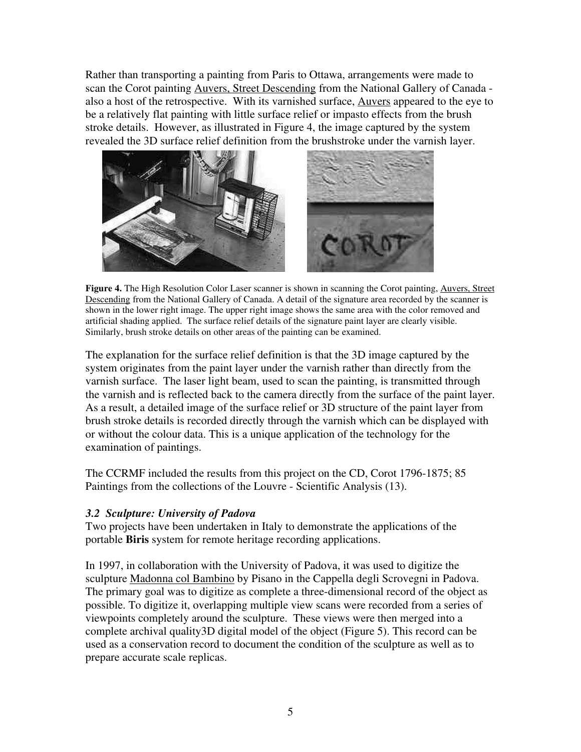Rather than transporting a painting from Paris to Ottawa, arrangements were made to scan the Corot painting Auvers, Street Descending from the National Gallery of Canada also a host of the retrospective. With its varnished surface, Auvers appeared to the eye to be a relatively flat painting with little surface relief or impasto effects from the brush stroke details. However, as illustrated in Figure 4, the image captured by the system revealed the 3D surface relief definition from the brushstroke under the varnish layer.



**Figure 4.** The High Resolution Color Laser scanner is shown in scanning the Corot painting, Auvers, Street Descending from the National Gallery of Canada. A detail of the signature area recorded by the scanner is shown in the lower right image. The upper right image shows the same area with the color removed and artificial shading applied. The surface relief details of the signature paint layer are clearly visible. Similarly, brush stroke details on other areas of the painting can be examined.

The explanation for the surface relief definition is that the 3D image captured by the system originates from the paint layer under the varnish rather than directly from the varnish surface. The laser light beam, used to scan the painting, is transmitted through the varnish and is reflected back to the camera directly from the surface of the paint layer. As a result, a detailed image of the surface relief or 3D structure of the paint layer from brush stroke details is recorded directly through the varnish which can be displayed with or without the colour data. This is a unique application of the technology for the examination of paintings.

The CCRMF included the results from this project on the CD, Corot 1796-1875; 85 Paintings from the collections of the Louvre - Scientific Analysis (13).

# *3.2 Sculpture: University of Padova*

Two projects have been undertaken in Italy to demonstrate the applications of the portable **Biris** system for remote heritage recording applications.

In 1997, in collaboration with the University of Padova, it was used to digitize the sculpture Madonna col Bambino by Pisano in the Cappella degli Scrovegni in Padova. The primary goal was to digitize as complete a three-dimensional record of the object as possible. To digitize it, overlapping multiple view scans were recorded from a series of viewpoints completely around the sculpture. These views were then merged into a complete archival quality3D digital model of the object (Figure 5). This record can be used as a conservation record to document the condition of the sculpture as well as to prepare accurate scale replicas.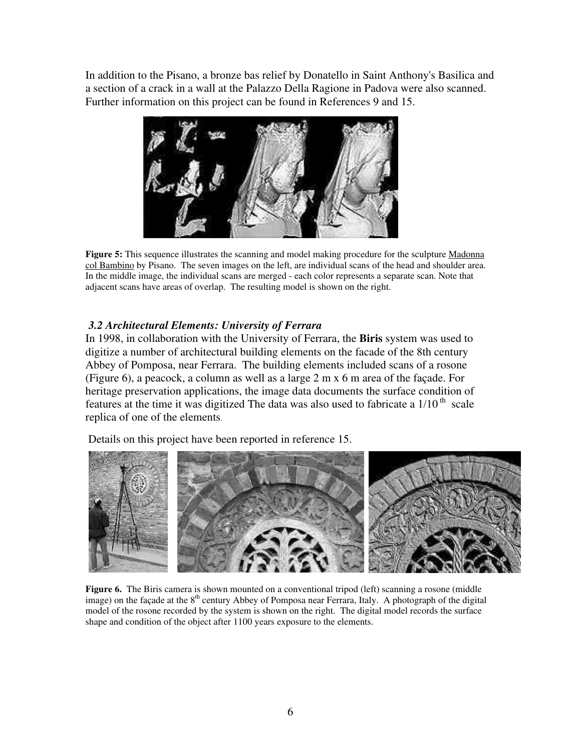In addition to the Pisano, a bronze bas relief by Donatello in Saint Anthony's Basilica and a section of a crack in a wall at the Palazzo Della Ragione in Padova were also scanned. Further information on this project can be found in References 9 and 15.



**Figure 5:** This sequence illustrates the scanning and model making procedure for the sculpture Madonna col Bambino by Pisano. The seven images on the left, are individual scans of the head and shoulder area. In the middle image, the individual scans are merged - each color represents a separate scan. Note that adjacent scans have areas of overlap. The resulting model is shown on the right.

# *3.2 Architectural Elements: University of Ferrara*

In 1998, in collaboration with the University of Ferrara, the **Biris** system was used to digitize a number of architectural building elements on the facade of the 8th century Abbey of Pomposa, near Ferrara. The building elements included scans of a rosone (Figure 6), a peacock, a column as well as a large 2 m x 6 m area of the façade. For heritage preservation applications, the image data documents the surface condition of features at the time it was digitized The data was also used to fabricate a  $1/10$ <sup>th</sup> scale replica of one of the elements.

Details on this project have been reported in reference 15.



**Figure 6.** The Biris camera is shown mounted on a conventional tripod (left) scanning a rosone (middle image) on the façade at the 8<sup>th</sup> century Abbey of Pomposa near Ferrara, Italy. A photograph of the digital model of the rosone recorded by the system is shown on the right. The digital model records the surface shape and condition of the object after 1100 years exposure to the elements.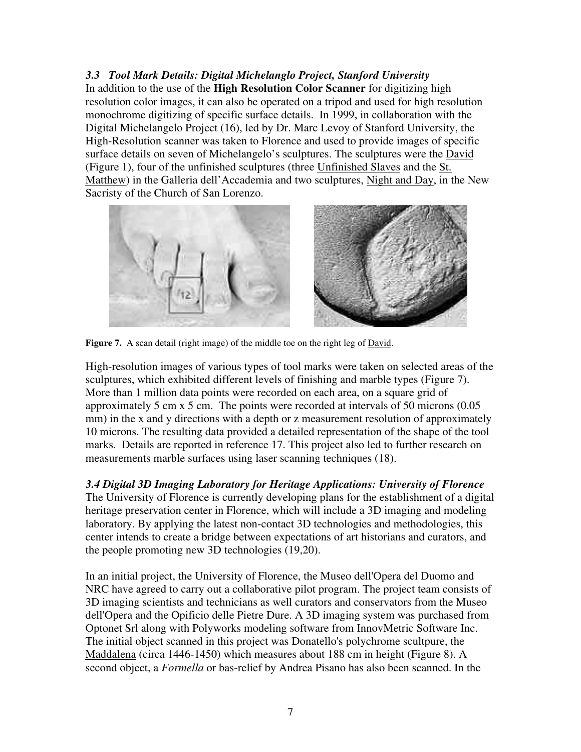*3.3 Tool Mark Details: Digital Michelanglo Project, Stanford University* In addition to the use of the **High Resolution Color Scanner** for digitizing high resolution color images, it can also be operated on a tripod and used for high resolution monochrome digitizing of specific surface details. In 1999, in collaboration with the Digital Michelangelo Project (16), led by Dr. Marc Levoy of Stanford University, the High-Resolution scanner was taken to Florence and used to provide images of specific surface details on seven of Michelangelo's sculptures. The sculptures were the David (Figure 1), four of the unfinished sculptures (three Unfinished Slaves and the St. Matthew) in the Galleria dell'Accademia and two sculptures, Night and Day, in the New Sacristy of the Church of San Lorenzo.





**Figure 7.** A scan detail (right image) of the middle toe on the right leg of David.

High-resolution images of various types of tool marks were taken on selected areas of the sculptures, which exhibited different levels of finishing and marble types (Figure 7). More than 1 million data points were recorded on each area, on a square grid of approximately 5 cm x 5 cm. The points were recorded at intervals of 50 microns (0.05 mm) in the x and y directions with a depth or z measurement resolution of approximately 10 microns. The resulting data provided a detailed representation of the shape of the tool marks. Details are reported in reference 17. This project also led to further research on measurements marble surfaces using laser scanning techniques (18).

*3.4 Digital 3D Imaging Laboratory for Heritage Applications: University of Florence*

The University of Florence is currently developing plans for the establishment of a digital heritage preservation center in Florence, which will include a 3D imaging and modeling laboratory. By applying the latest non-contact 3D technologies and methodologies, this center intends to create a bridge between expectations of art historians and curators, and the people promoting new 3D technologies (19,20).

In an initial project, the University of Florence, the Museo dell'Opera del Duomo and NRC have agreed to carry out a collaborative pilot program. The project team consists of 3D imaging scientists and technicians as well curators and conservators from the Museo dell'Opera and the Opificio delle Pietre Dure. A 3D imaging system was purchased from Optonet Srl along with Polyworks modeling software from InnovMetric Software Inc. The initial object scanned in this project was Donatello's polychrome scultpure, the Maddalena (circa 1446-1450) which measures about 188 cm in height (Figure 8). A second object, a *Formella* or bas-relief by Andrea Pisano has also been scanned. In the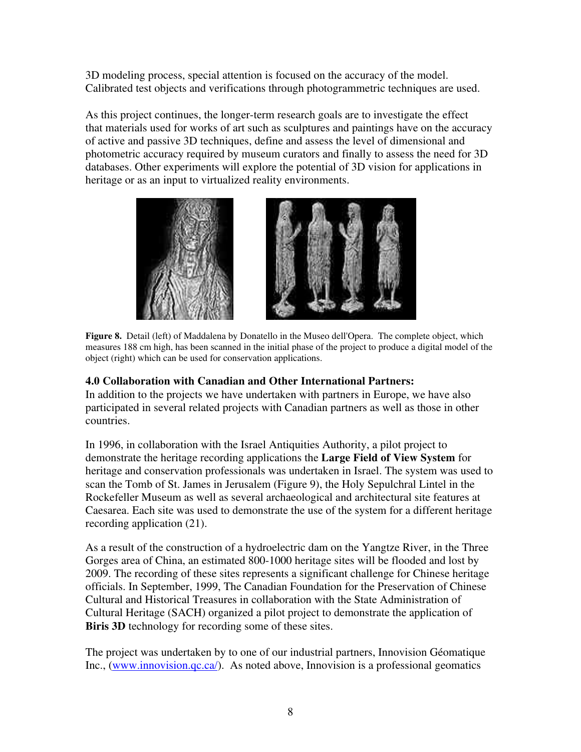3D modeling process, special attention is focused on the accuracy of the model. Calibrated test objects and verifications through photogrammetric techniques are used.

As this project continues, the longer-term research goals are to investigate the effect that materials used for works of art such as sculptures and paintings have on the accuracy of active and passive 3D techniques, define and assess the level of dimensional and photometric accuracy required by museum curators and finally to assess the need for 3D databases. Other experiments will explore the potential of 3D vision for applications in heritage or as an input to virtualized reality environments.





**Figure 8.** Detail (left) of Maddalena by Donatello in the Museo dell'Opera. The complete object, which measures 188 cm high, has been scanned in the initial phase of the project to produce a digital model of the object (right) which can be used for conservation applications.

# **4.0 Collaboration with Canadian and Other International Partners:**

In addition to the projects we have undertaken with partners in Europe, we have also participated in several related projects with Canadian partners as well as those in other countries.

In 1996, in collaboration with the Israel Antiquities Authority, a pilot project to demonstrate the heritage recording applications the **Large Field of View System** for heritage and conservation professionals was undertaken in Israel. The system was used to scan the Tomb of St. James in Jerusalem (Figure 9), the Holy Sepulchral Lintel in the Rockefeller Museum as well as several archaeological and architectural site features at Caesarea. Each site was used to demonstrate the use of the system for a different heritage recording application (21).

As a result of the construction of a hydroelectric dam on the Yangtze River, in the Three Gorges area of China, an estimated 800-1000 heritage sites will be flooded and lost by 2009. The recording of these sites represents a significant challenge for Chinese heritage officials. In September, 1999, The Canadian Foundation for the Preservation of Chinese Cultural and Historical Treasures in collaboration with the State Administration of Cultural Heritage (SACH) organized a pilot project to demonstrate the application of **Biris 3D** technology for recording some of these sites.

The project was undertaken by to one of our industrial partners, Innovision Géomatique Inc., (www.innovision.qc.ca/). As noted above, Innovision is a professional geomatics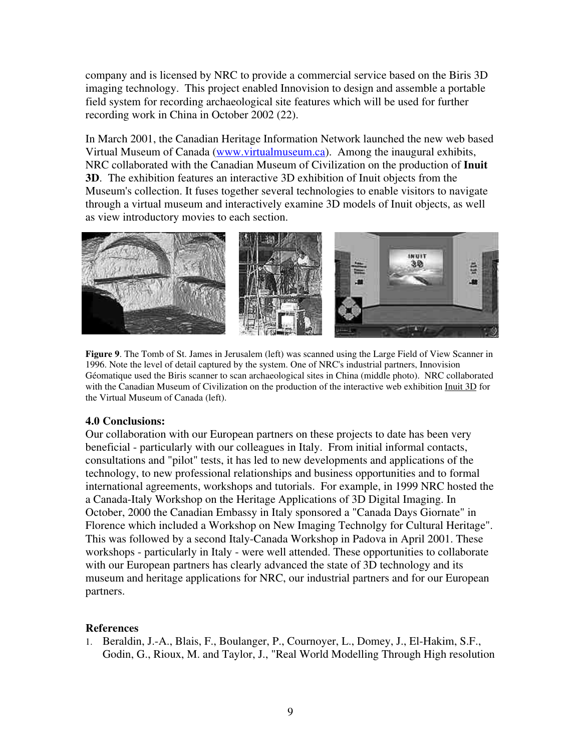company and is licensed by NRC to provide a commercial service based on the Biris 3D imaging technology. This project enabled Innovision to design and assemble a portable field system for recording archaeological site features which will be used for further recording work in China in October 2002 (22).

In March 2001, the Canadian Heritage Information Network launched the new web based Virtual Museum of Canada (www.virtualmuseum.ca). Among the inaugural exhibits, NRC collaborated with the Canadian Museum of Civilization on the production of **Inuit 3D**. The exhibition features an interactive 3D exhibition of Inuit objects from the Museum's collection. It fuses together several technologies to enable visitors to navigate through a virtual museum and interactively examine 3D models of Inuit objects, as well as view introductory movies to each section.



**Figure 9**. The Tomb of St. James in Jerusalem (left) was scanned using the Large Field of View Scanner in 1996. Note the level of detail captured by the system. One of NRC's industrial partners, Innovision Géomatique used the Biris scanner to scan archaeological sites in China (middle photo). NRC collaborated with the Canadian Museum of Civilization on the production of the interactive web exhibition Inuit 3D for the Virtual Museum of Canada (left).

#### **4.0 Conclusions:**

Our collaboration with our European partners on these projects to date has been very beneficial - particularly with our colleagues in Italy. From initial informal contacts, consultations and "pilot" tests, it has led to new developments and applications of the technology, to new professional relationships and business opportunities and to formal international agreements, workshops and tutorials. For example, in 1999 NRC hosted the a Canada-Italy Workshop on the Heritage Applications of 3D Digital Imaging. In October, 2000 the Canadian Embassy in Italy sponsored a "Canada Days Giornate" in Florence which included a Workshop on New Imaging Technolgy for Cultural Heritage". This was followed by a second Italy-Canada Workshop in Padova in April 2001. These workshops - particularly in Italy - were well attended. These opportunities to collaborate with our European partners has clearly advanced the state of 3D technology and its museum and heritage applications for NRC, our industrial partners and for our European partners.

#### **References**

1. Beraldin, J.-A., Blais, F., Boulanger, P., Cournoyer, L., Domey, J., El-Hakim, S.F., Godin, G., Rioux, M. and Taylor, J., "Real World Modelling Through High resolution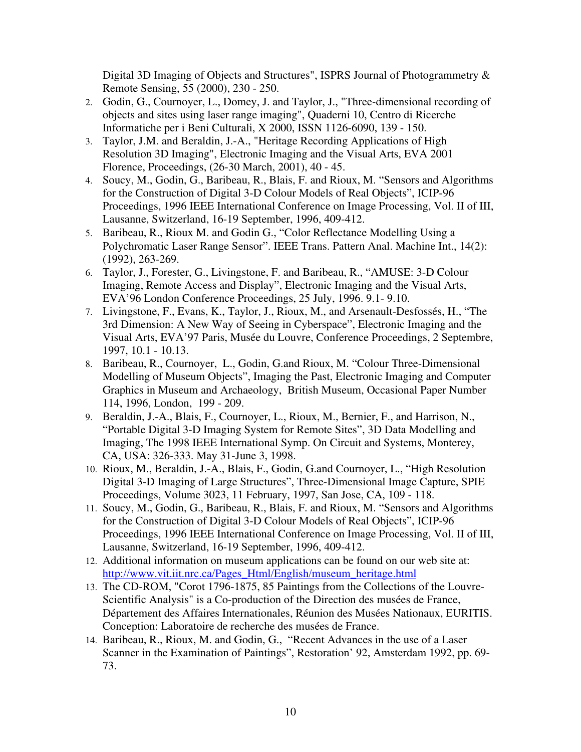Digital 3D Imaging of Objects and Structures", ISPRS Journal of Photogrammetry & Remote Sensing, 55 (2000), 230 - 250.

- 2. Godin, G., Cournoyer, L., Domey, J. and Taylor, J., "Three-dimensional recording of objects and sites using laser range imaging", Quaderni 10, Centro di Ricerche Informatiche per i Beni Culturali, X 2000, ISSN 1126-6090, 139 - 150.
- 3. Taylor, J.M. and Beraldin, J.-A., "Heritage Recording Applications of High Resolution 3D Imaging", Electronic Imaging and the Visual Arts, EVA 2001 Florence, Proceedings, (26-30 March, 2001), 40 - 45.
- 4. Soucy, M., Godin, G., Baribeau, R., Blais, F. and Rioux, M. "Sensors and Algorithms for the Construction of Digital 3-D Colour Models of Real Objects", ICIP-96 Proceedings, 1996 IEEE International Conference on Image Processing, Vol. II of III, Lausanne, Switzerland, 16-19 September, 1996, 409-412.
- 5. Baribeau, R., Rioux M. and Godin G., "Color Reflectance Modelling Using a Polychromatic Laser Range Sensor". IEEE Trans. Pattern Anal. Machine Int., 14(2): (1992), 263-269.
- 6. Taylor, J., Forester, G., Livingstone, F. and Baribeau, R., "AMUSE: 3-D Colour Imaging, Remote Access and Display", Electronic Imaging and the Visual Arts, EVA'96 London Conference Proceedings, 25 July, 1996. 9.1- 9.10.
- 7. Livingstone, F., Evans, K., Taylor, J., Rioux, M., and Arsenault-Desfossés, H., "The 3rd Dimension: A New Way of Seeing in Cyberspace", Electronic Imaging and the Visual Arts, EVA'97 Paris, Musée du Louvre, Conference Proceedings, 2 Septembre, 1997, 10.1 - 10.13.
- 8. Baribeau, R., Cournoyer, L., Godin, G.and Rioux, M. "Colour Three-Dimensional Modelling of Museum Objects", Imaging the Past, Electronic Imaging and Computer Graphics in Museum and Archaeology, British Museum, Occasional Paper Number 114, 1996, London, 199 - 209.
- 9. Beraldin, J.-A., Blais, F., Cournoyer, L., Rioux, M., Bernier, F., and Harrison, N., "Portable Digital 3-D Imaging System for Remote Sites", 3D Data Modelling and Imaging, The 1998 IEEE International Symp. On Circuit and Systems, Monterey, CA, USA: 326-333. May 31-June 3, 1998.
- 10. Rioux, M., Beraldin, J.-A., Blais, F., Godin, G.and Cournoyer, L., "High Resolution Digital 3-D Imaging of Large Structures", Three-Dimensional Image Capture, SPIE Proceedings, Volume 3023, 11 February, 1997, San Jose, CA, 109 - 118.
- 11. Soucy, M., Godin, G., Baribeau, R., Blais, F. and Rioux, M. "Sensors and Algorithms for the Construction of Digital 3-D Colour Models of Real Objects", ICIP-96 Proceedings, 1996 IEEE International Conference on Image Processing, Vol. II of III, Lausanne, Switzerland, 16-19 September, 1996, 409-412.
- 12. Additional information on museum applications can be found on our web site at: http://www.vit.iit.nrc.ca/Pages\_Html/English/museum\_heritage.html
- 13. The CD-ROM, "Corot 1796-1875, 85 Paintings from the Collections of the Louvre-Scientific Analysis" is a Co-production of the Direction des musées de France, Département des Affaires Internationales, Réunion des Musées Nationaux, EURITIS. Conception: Laboratoire de recherche des musées de France.
- 14. Baribeau, R., Rioux, M. and Godin, G., "Recent Advances in the use of a Laser Scanner in the Examination of Paintings", Restoration' 92, Amsterdam 1992, pp. 69- 73.